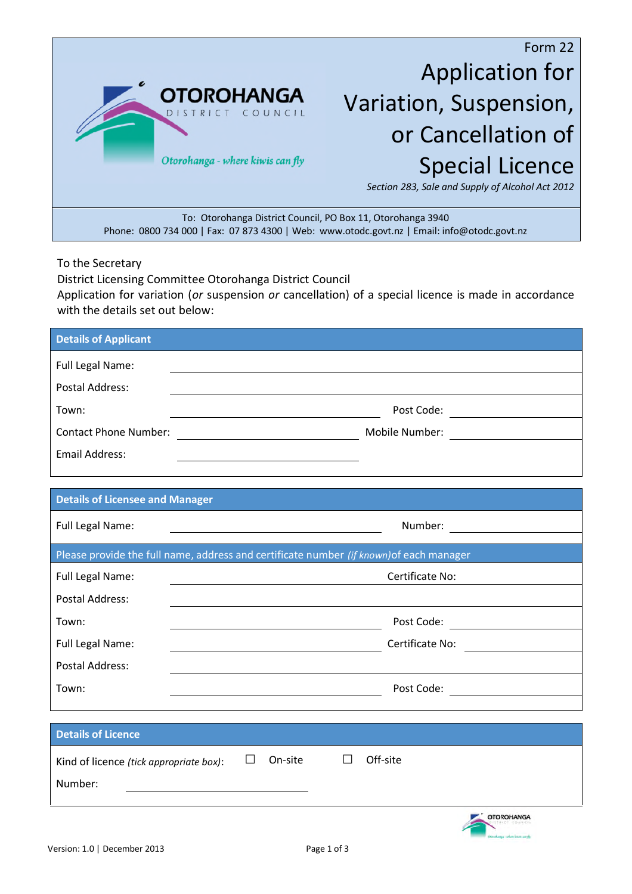

Application for Variation, Suspension, or Cancellation of Special Licence

*Section 283, Sale and Supply of Alcohol Act 2012*

To: Otorohanga District Council, PO Box 11, Otorohanga 3940 Phone: 0800 734 000 | Fax: 07 873 4300 | Web: www.otodc.govt.nz | Email: info@otodc.govt.nz

To the Secretary

District Licensing Committee Otorohanga District Council Application for variation (*or* suspension *or* cancellation) of a special licence is made in accordance with the details set out below:

| <b>Details of Applicant</b>             |                                                                                                                                                        |  |  |
|-----------------------------------------|--------------------------------------------------------------------------------------------------------------------------------------------------------|--|--|
| Full Legal Name:                        |                                                                                                                                                        |  |  |
| <b>Postal Address:</b>                  |                                                                                                                                                        |  |  |
| Town:                                   |                                                                                                                                                        |  |  |
| <b>Contact Phone Number:</b>            |                                                                                                                                                        |  |  |
| <b>Email Address:</b>                   |                                                                                                                                                        |  |  |
|                                         |                                                                                                                                                        |  |  |
| <b>Details of Licensee and Manager</b>  |                                                                                                                                                        |  |  |
| Full Legal Name:                        | Number: <u>________________</u><br><u> 1980 - Johann Barn, mars eta bainar eta baina eta baina eta baina eta baina eta baina eta baina eta baina e</u> |  |  |
|                                         | Please provide the full name, address and certificate number (if known) of each manager                                                                |  |  |
| Full Legal Name:                        | Certificate No:                                                                                                                                        |  |  |
| <b>Postal Address:</b>                  |                                                                                                                                                        |  |  |
| Town:                                   | Post Code: <u>_____________________</u>                                                                                                                |  |  |
| Full Legal Name:                        | Certificate No:                                                                                                                                        |  |  |
| <b>Postal Address:</b>                  |                                                                                                                                                        |  |  |
| Town:                                   | Post Code:                                                                                                                                             |  |  |
|                                         |                                                                                                                                                        |  |  |
| <b>Details of Licence</b>               |                                                                                                                                                        |  |  |
| Kind of licence (tick appropriate box): | Off-site<br>On-site                                                                                                                                    |  |  |
| Number:                                 |                                                                                                                                                        |  |  |
|                                         | <b>OTOROHANGA</b>                                                                                                                                      |  |  |
|                                         | a salan kamanghi                                                                                                                                       |  |  |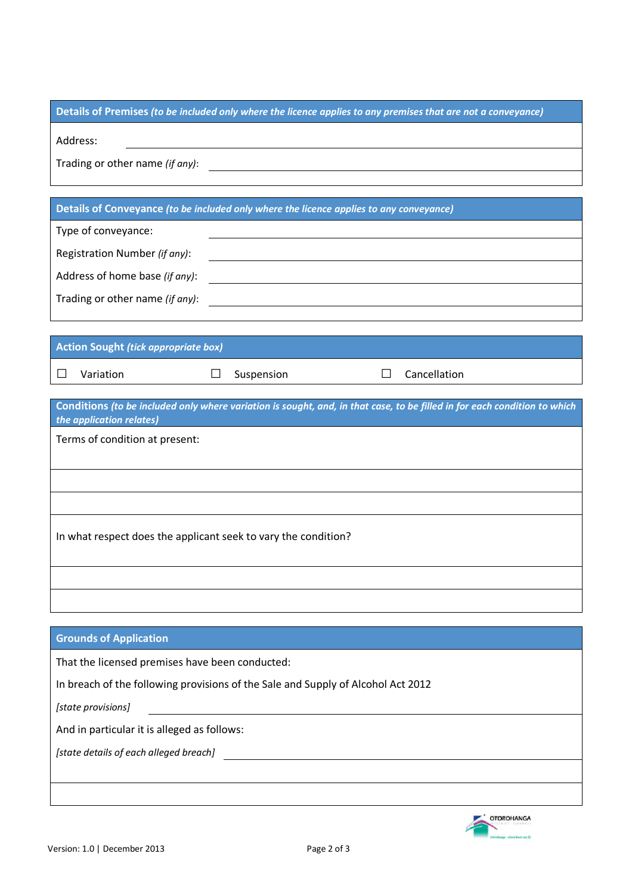## **Details of Premises** *(to be included only where the licence applies to any premises that are not a conveyance)*

Address:

Trading or other name *(if any)*:

## **Details of Conveyance** *(to be included only where the licence applies to any conveyance)*

| Type of conveyance:             |  |
|---------------------------------|--|
| Registration Number (if any):   |  |
| Address of home base (if any):  |  |
| Trading or other name (if any): |  |
|                                 |  |

## **Action Sought** *(tick appropriate box)*

| Varia |  |
|-------|--|
|       |  |

□ Variation □ Suspension □ Cancellation

| Conditions (to be included only where variation is sought, and, in that case, to be filled in for each condition to which<br>the application relates) |
|-------------------------------------------------------------------------------------------------------------------------------------------------------|
| Terms of condition at present:                                                                                                                        |
|                                                                                                                                                       |
|                                                                                                                                                       |
|                                                                                                                                                       |
| In what respect does the applicant seek to vary the condition?                                                                                        |
|                                                                                                                                                       |
|                                                                                                                                                       |

| <b>Grounds of Application</b>                                                    |  |
|----------------------------------------------------------------------------------|--|
| That the licensed premises have been conducted:                                  |  |
| In breach of the following provisions of the Sale and Supply of Alcohol Act 2012 |  |
| [state provisions]                                                               |  |
| And in particular it is alleged as follows:                                      |  |
| [state details of each alleged breach]                                           |  |
|                                                                                  |  |
|                                                                                  |  |